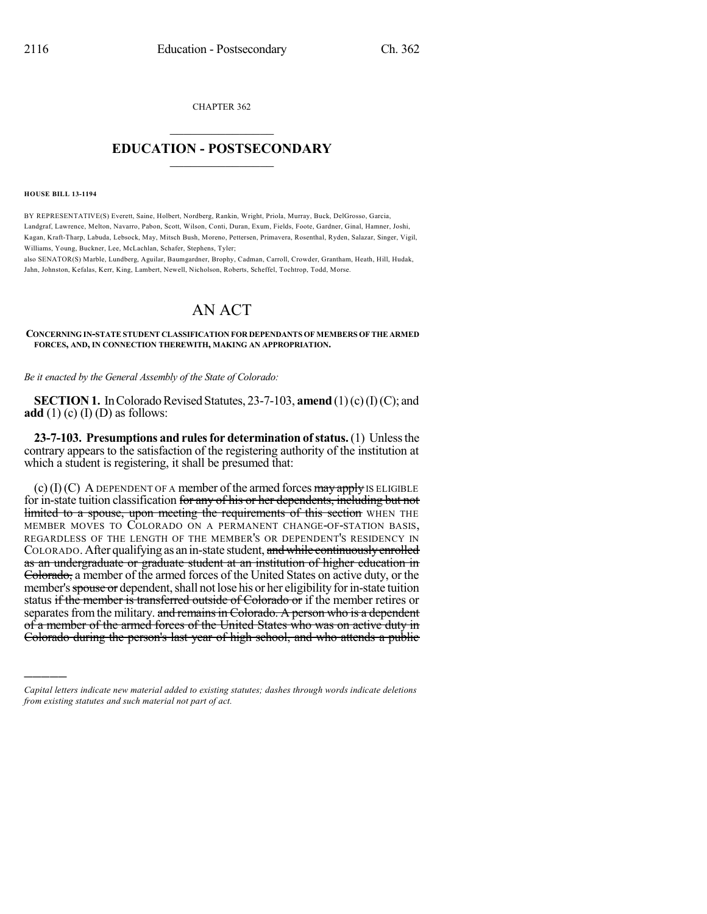CHAPTER 362

## $\mathcal{L}_\text{max}$  . The set of the set of the set of the set of the set of the set of the set of the set of the set of the set of the set of the set of the set of the set of the set of the set of the set of the set of the set **EDUCATION - POSTSECONDARY**  $\frac{1}{2}$  ,  $\frac{1}{2}$  ,  $\frac{1}{2}$  ,  $\frac{1}{2}$  ,  $\frac{1}{2}$  ,  $\frac{1}{2}$  ,  $\frac{1}{2}$

## **HOUSE BILL 13-1194**

)))))

BY REPRESENTATIVE(S) Everett, Saine, Holbert, Nordberg, Rankin, Wright, Priola, Murray, Buck, DelGrosso, Garcia, Landgraf, Lawrence, Melton, Navarro, Pabon, Scott, Wilson, Conti, Duran, Exum, Fields, Foote, Gardner, Ginal, Hamner, Joshi, Kagan, Kraft-Tharp, Labuda, Lebsock, May, Mitsch Bush, Moreno, Pettersen, Primavera, Rosenthal, Ryden, Salazar, Singer, Vigil, Williams, Young, Buckner, Lee, McLachlan, Schafer, Stephens, Tyler;

also SENATOR(S) Marble, Lundberg, Aguilar, Baumgardner, Brophy, Cadman, Carroll, Crowder, Grantham, Heath, Hill, Hudak, Jahn, Johnston, Kefalas, Kerr, King, Lambert, Newell, Nicholson, Roberts, Scheffel, Tochtrop, Todd, Morse.

## AN ACT

**CONCERNING IN-STATESTUDENT CLASSIFICATION FOR DEPENDANTS OF MEMBERS OF THE ARMED FORCES, AND, IN CONNECTION THEREWITH, MAKING AN APPROPRIATION.**

*Be it enacted by the General Assembly of the State of Colorado:*

**SECTION 1.** In Colorado Revised Statutes, 23-7-103, **amend** (1)(c)(I)(C); and **add** (1) (c) (I) (D) as follows:

**23-7-103. Presumptions and rulesfor determination of status.**(1) Unlessthe contrary appears to the satisfaction of the registering authority of the institution at which a student is registering, it shall be presumed that:

 $(c)$  (I)(C) A DEPENDENT OF A member of the armed forces  $\frac{m}{2}$  may apply IS ELIGIBLE for in-state tuition classification for any of his or her dependents, including but not limited to a spouse, upon meeting the requirements of this section WHEN THE MEMBER MOVES TO COLORADO ON A PERMANENT CHANGE-OF-STATION BASIS, REGARDLESS OF THE LENGTH OF THE MEMBER'S OR DEPENDENT'S RESIDENCY IN COLORADO. After qualifying as an in-state student, and while continuously enrolled as an undergraduate or graduate student at an institution of higher education in Colorado, a member of the armed forces of the United States on active duty, or the member's spouse or dependent, shall not lose his or her eligibility for in-state tuition status if the member is transferred outside of Colorado or if the member retires or separates from the military. and remains in Colorado. A person who is a dependent of a member of the armed forces of the United States who was on active duty in Colorado during the person's last year of high school, and who attends a public

*Capital letters indicate new material added to existing statutes; dashes through words indicate deletions from existing statutes and such material not part of act.*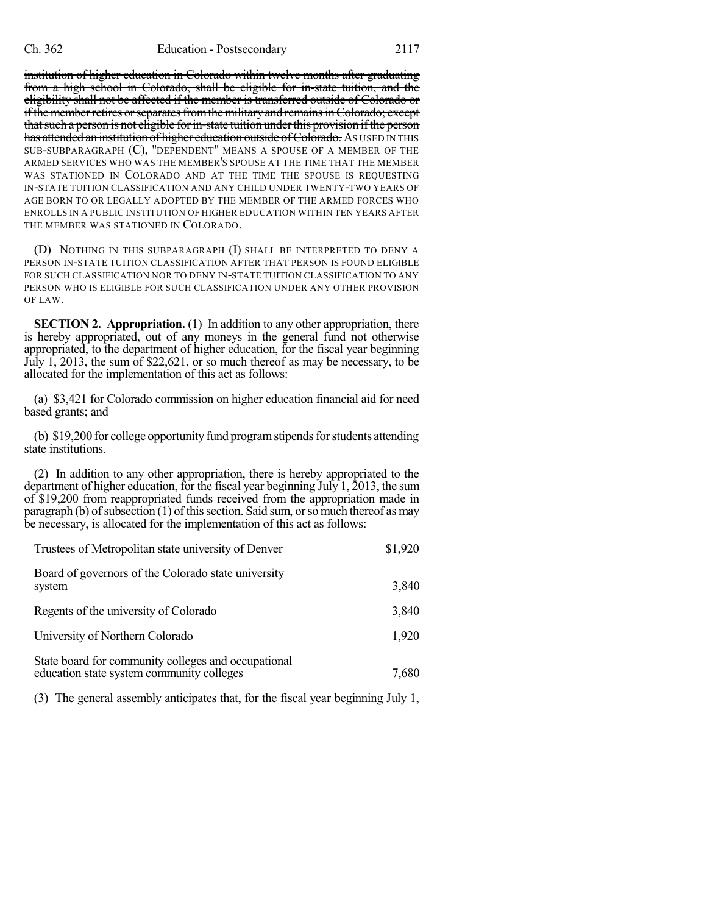institution of higher education in Colorado within twelve months after graduating from a high school in Colorado, shall be eligible for in-state tuition, and the eligibility shall not be affected if the member is transferred outside of Colorado or if the member retires or separates from the military and remains in Colorado; except that such a person is not eligible for in-state tuition under this provision if the person has attended an institution of higher education outside of Colorado. As USED IN THIS SUB-SUBPARAGRAPH (C), "DEPENDENT" MEANS A SPOUSE OF A MEMBER OF THE ARMED SERVICES WHO WAS THE MEMBER'S SPOUSE AT THE TIME THAT THE MEMBER WAS STATIONED IN COLORADO AND AT THE TIME THE SPOUSE IS REQUESTING IN-STATE TUITION CLASSIFICATION AND ANY CHILD UNDER TWENTY-TWO YEARS OF AGE BORN TO OR LEGALLY ADOPTED BY THE MEMBER OF THE ARMED FORCES WHO ENROLLS IN A PUBLIC INSTITUTION OF HIGHER EDUCATION WITHIN TEN YEARS AFTER THE MEMBER WAS STATIONED IN COLORADO.

(D) NOTHING IN THIS SUBPARAGRAPH (I) SHALL BE INTERPRETED TO DENY A PERSON IN-STATE TUITION CLASSIFICATION AFTER THAT PERSON IS FOUND ELIGIBLE FOR SUCH CLASSIFICATION NOR TO DENY IN-STATE TUITION CLASSIFICATION TO ANY PERSON WHO IS ELIGIBLE FOR SUCH CLASSIFICATION UNDER ANY OTHER PROVISION OF LAW.

**SECTION 2. Appropriation.** (1) In addition to any other appropriation, there is hereby appropriated, out of any moneys in the general fund not otherwise appropriated, to the department of higher education, for the fiscal year beginning July 1, 2013, the sum of \$22,621, or so much thereof as may be necessary, to be allocated for the implementation of this act as follows:

(a) \$3,421 for Colorado commission on higher education financial aid for need based grants; and

(b) \$19,200 for college opportunity fund program stipends for students attending state institutions.

(2) In addition to any other appropriation, there is hereby appropriated to the department of higher education, for the fiscal year beginning July 1, 2013, the sum of \$19,200 from reappropriated funds received from the appropriation made in paragraph (b) of subsection (1) of this section. Said sum, or so much thereof as may be necessary, is allocated for the implementation of this act as follows:

| Trustees of Metropolitan state university of Denver                                              | \$1,920 |
|--------------------------------------------------------------------------------------------------|---------|
| Board of governors of the Colorado state university<br>system                                    | 3,840   |
| Regents of the university of Colorado                                                            | 3,840   |
| University of Northern Colorado                                                                  | 1,920   |
| State board for community colleges and occupational<br>education state system community colleges | 7,680   |

(3) The general assembly anticipates that, for the fiscal year beginning July 1,